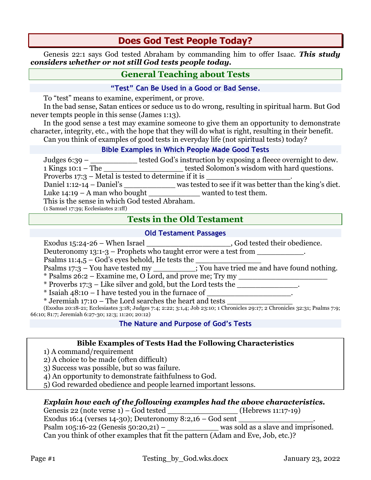# **Does God Test People Today?**

Genesis 22:1 says God tested Abraham by commanding him to offer Isaac. *This study considers whether or not still God tests people today.*

# **General Teaching about Tests**

### **"Test" Can Be Used in a Good or Bad Sense.**

To "test" means to examine, experiment, or prove.

In the bad sense, Satan entices or seduce us to do wrong, resulting in spiritual harm. But God never tempts people in this sense (James 1:13).

In the good sense a test may examine someone to give them an opportunity to demonstrate character, integrity, etc., with the hope that they will do what is right, resulting in their benefit. Can you think of examples of good tests in everyday life (not spiritual tests) today?

### **Bible Examples in Which People Made Good Tests**

Judges 6:39 – \_\_\_\_\_\_\_\_\_\_\_\_ tested God's instruction by exposing a fleece overnight to dew. 1 Kings 10:1 – The \_\_\_\_\_\_\_\_\_\_\_\_\_\_\_\_\_ tested Solomon's wisdom with hard questions. Proverbs  $17:3$  – Metal is tested to determine if it is Daniel 1:12-14 – Daniel's \_\_\_\_\_\_\_\_\_\_\_\_\_\_ was tested to see if it was better than the king's diet. Luke 14:19 – A man who bought wanted to test them. This is the sense in which God tested Abraham. (1 Samuel 17:39; Ecclesiastes 2:1ff)

# **Tests in the Old Testament**

### **Old Testament Passages**

Exodus 15:24-26 – When Israel \_\_\_\_\_\_\_\_\_\_\_\_\_\_\_\_\_\_, God tested their obedience.

Deuteronomy  $13:1-3$  – Prophets who taught error were a test from \_\_\_\_\_\_\_\_\_\_\_.

Psalms 11:4,5 – God's eyes behold, He tests the

Psalms 17:3 – You have tested my \_\_\_\_\_\_\_\_\_; You have tried me and have found nothing.

\* Psalms 26:2 – Examine me, O Lord, and prove me; Try my \_\_\_\_\_\_\_\_\_\_\_\_\_\_\_\_\_\_\_

\* Proverbs 17:3 – Like silver and gold, but the Lord tests the

 $*$  Isaiah 48:10 – I have tested you in the furnace of

 $*$  Jeremiah 17:10 – The Lord searches the heart and tests

(Exodus 20:18-21; Ecclesiastes 3:18; Judges 7:4; 2:22; 3:1,4; Job 23:10; 1 Chronicles 29:17; 2 Chronicles 32:31; Psalms 7:9; 66:10; 81:7; Jeremiah 6:27-30; 12:3; 11:20; 20:12)

## **The Nature and Purpose of God's Tests**

### **Bible Examples of Tests Had the Following Characteristics**

1) A command/requirement

2) A choice to be made (often difficult)

3) Success was possible, but so was failure.

4) An opportunity to demonstrate faithfulness to God.

5) God rewarded obedience and people learned important lessons.

## *Explain how each of the following examples had the above characteristics.*

Genesis 22 (note verse 1) – God tested \_\_\_\_\_\_\_\_\_\_\_\_\_\_\_\_\_\_\_\_\_\_(Hebrews 11:17-19)

Exodus 16:4 (verses 14-30); Deuteronomy  $8:2,16$  – God sent Psalm  $105:16-22$  (Genesis  $50:20,21$ ) – was sold as a slave and imprisoned.